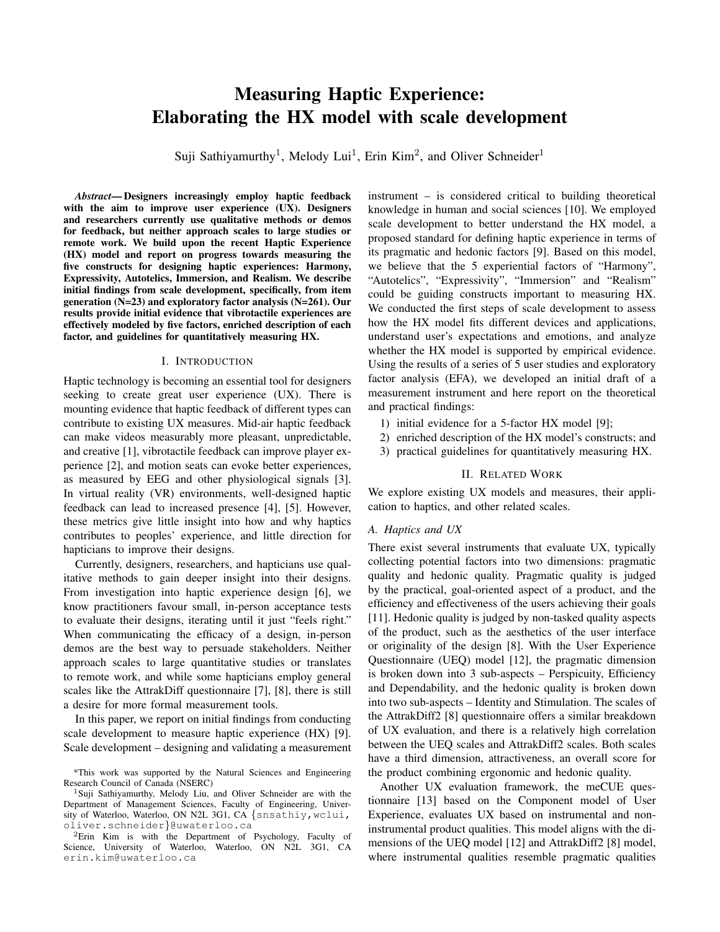# **Measuring Haptic Experience:** Elaborating the HX model with scale development

Suji Sathiyamurthy<sup>1</sup>, Melody Lui<sup>1</sup>, Erin Kim<sup>2</sup>, and Oliver Schneider<sup>1</sup>

**Abstract—Designers increasingly employ haptic feedback** with the aim to improve user experience (UX). Designers and researchers currently use qualitative methods or demos for feedback, but neither approach scales to large studies or remote work. We build upon the recent Haptic Experience (HX) model and report on progress towards measuring the five constructs for designing haptic experiences: Harmony, Expressivity, Autotelics, Immersion, and Realism. We describe initial findings from scale development, specifically, from item generation  $(N=23)$  and exploratory factor analysis  $(N=261)$ . Our results provide initial evidence that vibrotactile experiences are effectively modeled by five factors, enriched description of each factor, and guidelines for quantitatively measuring HX.

### I. INTRODUCTION

Haptic technology is becoming an essential tool for designers seeking to create great user experience (UX). There is mounting evidence that haptic feedback of different types can contribute to existing UX measures. Mid-air haptic feedback can make videos measurably more pleasant, unpredictable, and creative [1], vibrotactile feedback can improve player experience [2], and motion seats can evoke better experiences, as measured by EEG and other physiological signals [3]. In virtual reality (VR) environments, well-designed haptic feedback can lead to increased presence [4], [5]. However, these metrics give little insight into how and why haptics contributes to peoples' experience, and little direction for hapticians to improve their designs.

Currently, designers, researchers, and hapticians use qualitative methods to gain deeper insight into their designs. From investigation into haptic experience design [6], we know practitioners favour small, in-person acceptance tests to evaluate their designs, iterating until it just "feels right." When communicating the efficacy of a design, in-person demos are the best way to persuade stakeholders. Neither approach scales to large quantitative studies or translates to remote work, and while some hapticians employ general scales like the AttrakDiff questionnaire [7], [8], there is still a desire for more formal measurement tools.

In this paper, we report on initial findings from conducting scale development to measure haptic experience (HX) [9]. Scale development – designing and validating a measurement instrument – is considered critical to building theoretical knowledge in human and social sciences [10]. We employed scale development to better understand the HX model, a proposed standard for defining haptic experience in terms of its pragmatic and hedonic factors [9]. Based on this model, we believe that the 5 experiential factors of "Harmony", "Autotelics", "Expressivity", "Immersion" and "Realism" could be guiding constructs important to measuring HX. We conducted the first steps of scale development to assess how the HX model fits different devices and applications, understand user's expectations and emotions, and analyze whether the HX model is supported by empirical evidence. Using the results of a series of 5 user studies and exploratory factor analysis (EFA), we developed an initial draft of a measurement instrument and here report on the theoretical and practical findings:

- 1) initial evidence for a 5-factor HX model [9];
- 2) enriched description of the HX model's constructs; and
- 3) practical guidelines for quantitatively measuring HX.

#### **II. RELATED WORK**

We explore existing UX models and measures, their application to haptics, and other related scales.

### A. Haptics and UX

There exist several instruments that evaluate UX, typically collecting potential factors into two dimensions: pragmatic quality and hedonic quality. Pragmatic quality is judged by the practical, goal-oriented aspect of a product, and the efficiency and effectiveness of the users achieving their goals [11]. Hedonic quality is judged by non-tasked quality aspects of the product, such as the aesthetics of the user interface or originality of the design [8]. With the User Experience Questionnaire (UEQ) model [12], the pragmatic dimension is broken down into 3 sub-aspects - Perspicuity, Efficiency and Dependability, and the hedonic quality is broken down into two sub-aspects – Identity and Stimulation. The scales of the AttrakDiff2 [8] questionnaire offers a similar breakdown of UX evaluation, and there is a relatively high correlation between the UEQ scales and AttrakDiff2 scales. Both scales have a third dimension, attractiveness, an overall score for the product combining ergonomic and hedonic quality.

Another UX evaluation framework, the meCUE questionnaire [13] based on the Component model of User Experience, evaluates UX based on instrumental and noninstrumental product qualities. This model aligns with the dimensions of the UEQ model [12] and AttrakDiff2 [8] model, where instrumental qualities resemble pragmatic qualities

<sup>\*</sup>This work was supported by the Natural Sciences and Engineering Research Council of Canada (NSERC)

<sup>&</sup>lt;sup>1</sup>Suji Sathiyamurthy, Melody Liu, and Oliver Schneider are with the Department of Management Sciences, Faculty of Engineering, University of Waterloo, Waterloo, ON N2L 3G1, CA {snsathiy, wclui, oliver.schneider}@uwaterloo.ca

<sup>&</sup>lt;sup>2</sup>Erin Kim is with the Department of Psychology, Faculty of Science, University of Waterloo, Waterloo, ON N2L 3G1, CA erin.kim@uwaterloo.ca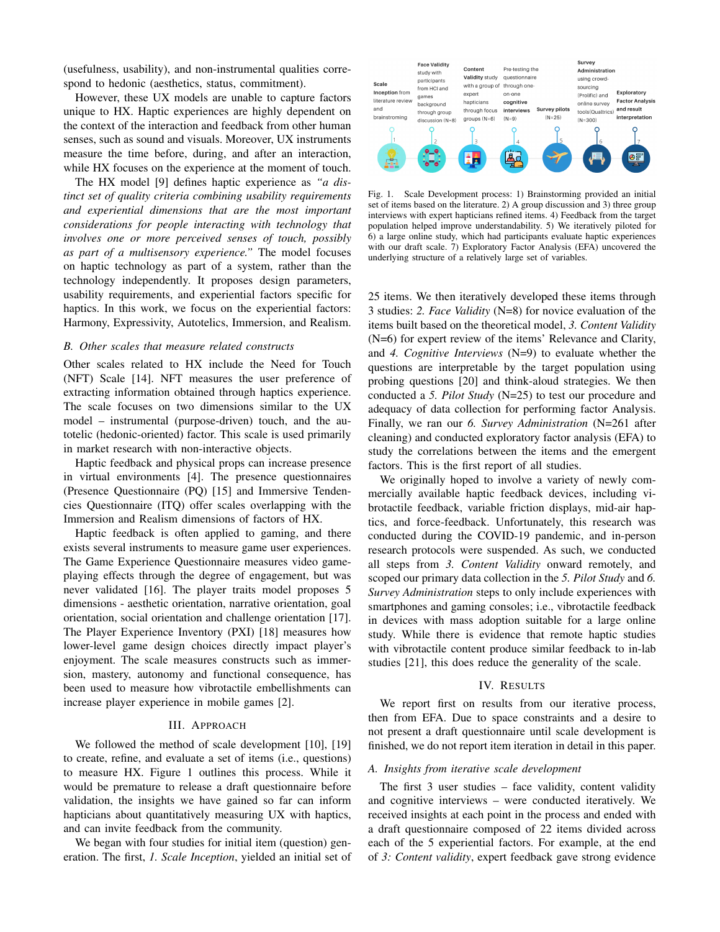(usefulness, usability), and non-instrumental qualities correspond to hedonic (aesthetics, status, commitment).

However, these UX models are unable to capture factors unique to HX. Haptic experiences are highly dependent on the context of the interaction and feedback from other human senses, such as sound and visuals. Moreover, UX instruments measure the time before, during, and after an interaction, while HX focuses on the experience at the moment of touch.

The HX model [9] defines haptic experience as "*a dis*tinct set of quality criteria combining usability requirements and experiential dimensions that are the most important considerations for people interacting with technology that involves one or more perceived senses of touch, possibly as part of a multisensory experience." The model focuses on haptic technology as part of a system, rather than the technology independently. It proposes design parameters, usability requirements, and experiential factors specific for haptics. In this work, we focus on the experiential factors: Harmony, Expressivity, Autotelics, Immersion, and Realism.

## B. Other scales that measure related constructs

Other scales related to HX include the Need for Touch (NFT) Scale [14]. NFT measures the user preference of extracting information obtained through haptics experience. The scale focuses on two dimensions similar to the UX model – instrumental (purpose-driven) touch, and the autotelic (hedonic-oriented) factor. This scale is used primarily in market research with non-interactive objects.

Haptic feedback and physical props can increase presence in virtual environments [4]. The presence questionnaires (Presence Questionnaire (PQ) [15] and Immersive Tendencies Questionnaire (ITQ) offer scales overlapping with the Immersion and Realism dimensions of factors of HX.

Haptic feedback is often applied to gaming, and there exists several instruments to measure game user experiences. The Game Experience Questionnaire measures video gameplaying effects through the degree of engagement, but was never validated [16]. The player traits model proposes 5 dimensions - aesthetic orientation, narrative orientation, goal orientation, social orientation and challenge orientation [17]. The Player Experience Inventory (PXI) [18] measures how lower-level game design choices directly impact player's enjoyment. The scale measures constructs such as immersion, mastery, autonomy and functional consequence, has been used to measure how vibrotactile embellishments can increase player experience in mobile games [2].

# III. APPROACH

We followed the method of scale development [10], [19] to create, refine, and evaluate a set of items (i.e., questions) to measure HX. Figure 1 outlines this process. While it would be premature to release a draft questionnaire before validation, the insights we have gained so far can inform hapticians about quantitatively measuring UX with haptics, and can invite feedback from the community.

We began with four studies for initial item (question) generation. The first, 1. Scale Inception, yielded an initial set of



Fig. 1. Scale Development process: 1) Brainstorming provided an initial set of items based on the literature. 2) A group discussion and 3) three group interviews with expert hapticians refined items. 4) Feedback from the target population helped improve understandability. 5) We iteratively piloted for 6) a large online study, which had participants evaluate haptic experiences with our draft scale. 7) Exploratory Factor Analysis (EFA) uncovered the underlying structure of a relatively large set of variables.

25 items. We then iteratively developed these items through 3 studies: 2. Face Validity ( $N=8$ ) for novice evaluation of the items built based on the theoretical model, 3. Content Validity (N=6) for expert review of the items' Relevance and Clarity, and 4. Cognitive Interviews  $(N=9)$  to evaluate whether the questions are interpretable by the target population using probing questions [20] and think-aloud strategies. We then conducted a 5. Pilot Study (N=25) to test our procedure and adequacy of data collection for performing factor Analysis. Finally, we ran our 6. Survey Administration (N=261 after cleaning) and conducted exploratory factor analysis (EFA) to study the correlations between the items and the emergent factors. This is the first report of all studies.

We originally hoped to involve a variety of newly commercially available haptic feedback devices, including vibrotactile feedback, variable friction displays, mid-air haptics, and force-feedback. Unfortunately, this research was conducted during the COVID-19 pandemic, and in-person research protocols were suspended. As such, we conducted all steps from 3. Content Validity onward remotely, and scoped our primary data collection in the 5. Pilot Study and 6. Survey Administration steps to only include experiences with smartphones and gaming consoles; i.e., vibrotactile feedback in devices with mass adoption suitable for a large online study. While there is evidence that remote haptic studies with vibrotactile content produce similar feedback to in-lab studies [21], this does reduce the generality of the scale.

#### IV. RESULTS

We report first on results from our iterative process, then from EFA. Due to space constraints and a desire to not present a draft questionnaire until scale development is finished, we do not report item iteration in detail in this paper.

#### A. Insights from iterative scale development

The first  $3$  user studies – face validity, content validity and cognitive interviews - were conducted iteratively. We received insights at each point in the process and ended with a draft questionnaire composed of 22 items divided across each of the 5 experiential factors. For example, at the end of 3: Content validity, expert feedback gave strong evidence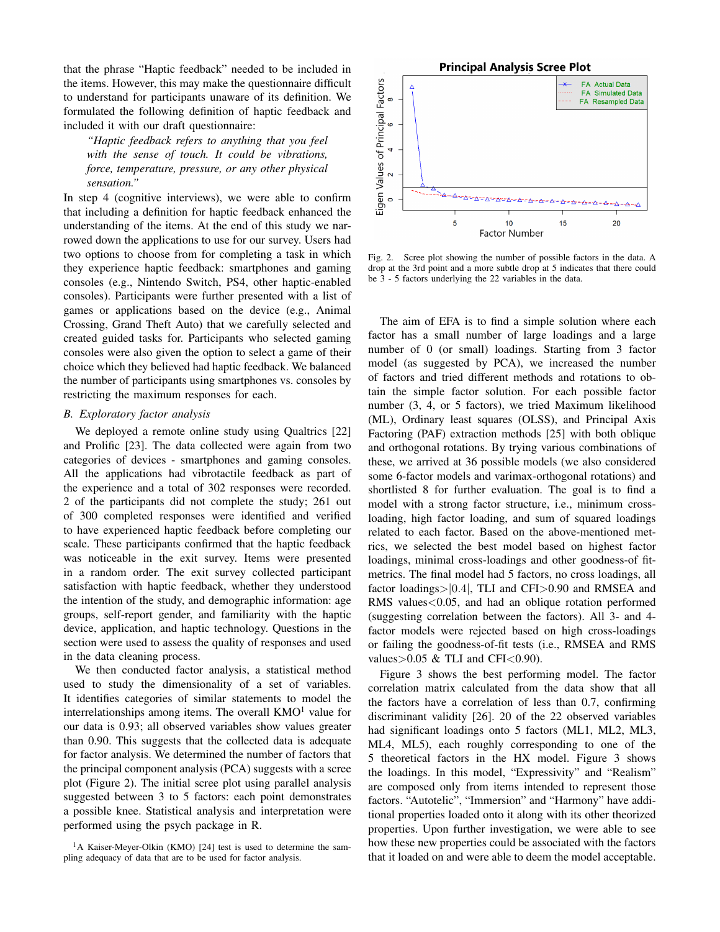that the phrase "Haptic feedback" needed to be included in the items. However, this may make the questionnaire difficult to understand for participants unaware of its definition. We formulated the following definition of haptic feedback and included it with our draft questionnaire:

"Haptic feedback refers to anything that you feel with the sense of touch. It could be vibrations, force, temperature, pressure, or any other physical sensation."

In step 4 (cognitive interviews), we were able to confirm that including a definition for haptic feedback enhanced the understanding of the items. At the end of this study we narrowed down the applications to use for our survey. Users had two options to choose from for completing a task in which they experience haptic feedback: smartphones and gaming consoles (e.g., Nintendo Switch, PS4, other haptic-enabled consoles). Participants were further presented with a list of games or applications based on the device (e.g., Animal Crossing, Grand Theft Auto) that we carefully selected and created guided tasks for. Participants who selected gaming consoles were also given the option to select a game of their choice which they believed had haptic feedback. We balanced the number of participants using smartphones vs. consoles by restricting the maximum responses for each.

## B. Exploratory factor analysis

We deployed a remote online study using Qualtrics [22] and Prolific [23]. The data collected were again from two categories of devices - smartphones and gaming consoles. All the applications had vibrotactile feedback as part of the experience and a total of 302 responses were recorded. 2 of the participants did not complete the study; 261 out of 300 completed responses were identified and verified to have experienced haptic feedback before completing our scale. These participants confirmed that the haptic feedback was noticeable in the exit survey. Items were presented in a random order. The exit survey collected participant satisfaction with haptic feedback, whether they understood the intention of the study, and demographic information: age groups, self-report gender, and familiarity with the haptic device, application, and haptic technology. Questions in the section were used to assess the quality of responses and used in the data cleaning process.

We then conducted factor analysis, a statistical method used to study the dimensionality of a set of variables. It identifies categories of similar statements to model the interrelationships among items. The overall  $KMO<sup>1</sup>$  value for our data is 0.93; all observed variables show values greater than 0.90. This suggests that the collected data is adequate for factor analysis. We determined the number of factors that the principal component analysis (PCA) suggests with a scree plot (Figure 2). The initial scree plot using parallel analysis suggested between 3 to 5 factors: each point demonstrates a possible knee. Statistical analysis and interpretation were performed using the psych package in R.



Fig. 2. Scree plot showing the number of possible factors in the data. A drop at the 3rd point and a more subtle drop at 5 indicates that there could be 3 - 5 factors underlying the 22 variables in the data.

The aim of EFA is to find a simple solution where each factor has a small number of large loadings and a large number of 0 (or small) loadings. Starting from 3 factor model (as suggested by PCA), we increased the number of factors and tried different methods and rotations to obtain the simple factor solution. For each possible factor number (3, 4, or 5 factors), we tried Maximum likelihood (ML), Ordinary least squares (OLSS), and Principal Axis Factoring (PAF) extraction methods [25] with both oblique and orthogonal rotations. By trying various combinations of these, we arrived at 36 possible models (we also considered some 6-factor models and varimax-orthogonal rotations) and shortlisted 8 for further evaluation. The goal is to find a model with a strong factor structure, i.e., minimum crossloading, high factor loading, and sum of squared loadings related to each factor. Based on the above-mentioned metrics, we selected the best model based on highest factor loadings, minimal cross-loadings and other goodness-of fitmetrics. The final model had 5 factors, no cross loadings, all factor loadings>|0.4|, TLI and CFI>0.90 and RMSEA and RMS values<0.05, and had an oblique rotation performed (suggesting correlation between the factors). All 3- and 4factor models were rejected based on high cross-loadings or failing the goodness-of-fit tests (i.e., RMSEA and RMS values > 0.05 & TLI and CFI $<$ 0.90).

Figure 3 shows the best performing model. The factor correlation matrix calculated from the data show that all the factors have a correlation of less than 0.7, confirming discriminant validity [26]. 20 of the 22 observed variables had significant loadings onto 5 factors (ML1, ML2, ML3, ML4, ML5), each roughly corresponding to one of the 5 theoretical factors in the HX model. Figure 3 shows the loadings. In this model, "Expressivity" and "Realism" are composed only from items intended to represent those factors. "Autotelic", "Immersion" and "Harmony" have additional properties loaded onto it along with its other theorized properties. Upon further investigation, we were able to see how these new properties could be associated with the factors that it loaded on and were able to deem the model acceptable.

<sup>&</sup>lt;sup>1</sup>A Kaiser-Meyer-Olkin (KMO) [24] test is used to determine the sampling adequacy of data that are to be used for factor analysis.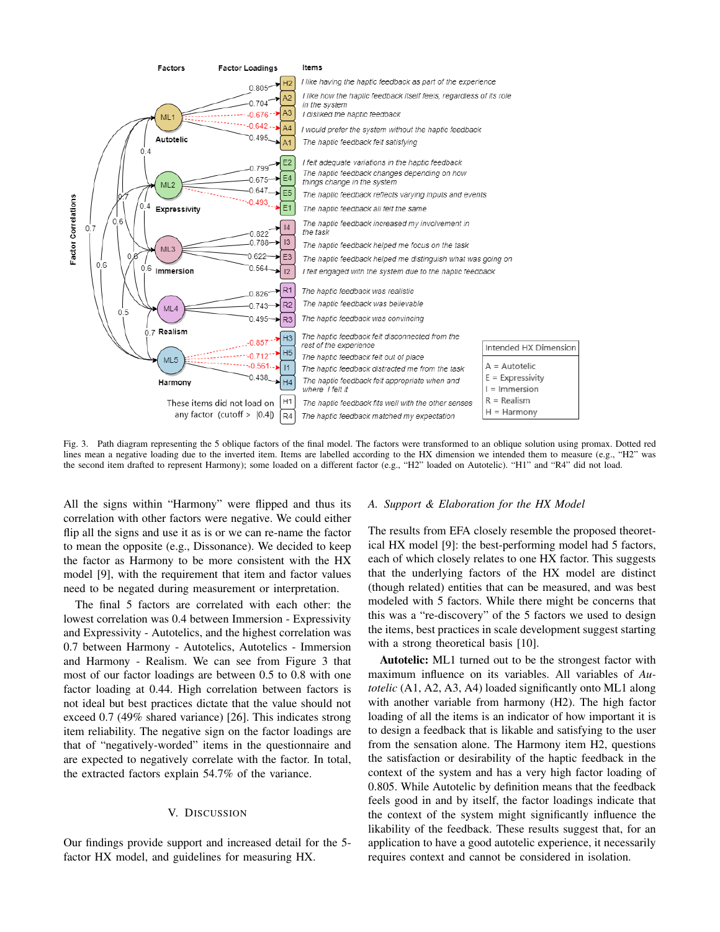

Fig. 3. Path diagram representing the 5 oblique factors of the final model. The factors were transformed to an oblique solution using promax. Dotted red lines mean a negative loading due to the inverted item. Items are labelled according to the HX dimension we intended them to measure (e.g., "H2" was the second item drafted to represent Harmony); some loaded on a different factor (e.g., "H2" loaded on Autotelic). "H1" and "R4" did not load.

All the signs within "Harmony" were flipped and thus its correlation with other factors were negative. We could either flip all the signs and use it as is or we can re-name the factor to mean the opposite (e.g., Dissonance). We decided to keep the factor as Harmony to be more consistent with the HX model [9], with the requirement that item and factor values need to be negated during measurement or interpretation.

The final 5 factors are correlated with each other: the lowest correlation was 0.4 between Immersion - Expressivity and Expressivity - Autotelics, and the highest correlation was 0.7 between Harmony - Autotelics, Autotelics - Immersion and Harmony - Realism. We can see from Figure 3 that most of our factor loadings are between 0.5 to 0.8 with one factor loading at 0.44. High correlation between factors is not ideal but best practices dictate that the value should not exceed 0.7 (49% shared variance) [26]. This indicates strong item reliability. The negative sign on the factor loadings are that of "negatively-worded" items in the questionnaire and are expected to negatively correlate with the factor. In total, the extracted factors explain 54.7% of the variance.

#### V. DISCUSSION

Our findings provide support and increased detail for the 5factor HX model, and guidelines for measuring HX.

## A. Support & Elaboration for the HX Model

The results from EFA closely resemble the proposed theoretical HX model [9]: the best-performing model had 5 factors, each of which closely relates to one HX factor. This suggests that the underlying factors of the HX model are distinct (though related) entities that can be measured, and was best modeled with 5 factors. While there might be concerns that this was a "re-discovery" of the 5 factors we used to design the items, best practices in scale development suggest starting with a strong theoretical basis [10].

Autotelic: ML1 turned out to be the strongest factor with maximum influence on its variables. All variables of Au*totelic* (A1, A2, A3, A4) loaded significantly onto ML1 along with another variable from harmony (H2). The high factor loading of all the items is an indicator of how important it is to design a feedback that is likable and satisfying to the user from the sensation alone. The Harmony item H2, questions the satisfaction or desirability of the haptic feedback in the context of the system and has a very high factor loading of 0.805. While Autotelic by definition means that the feedback feels good in and by itself, the factor loadings indicate that the context of the system might significantly influence the likability of the feedback. These results suggest that, for an application to have a good autotelic experience, it necessarily requires context and cannot be considered in isolation.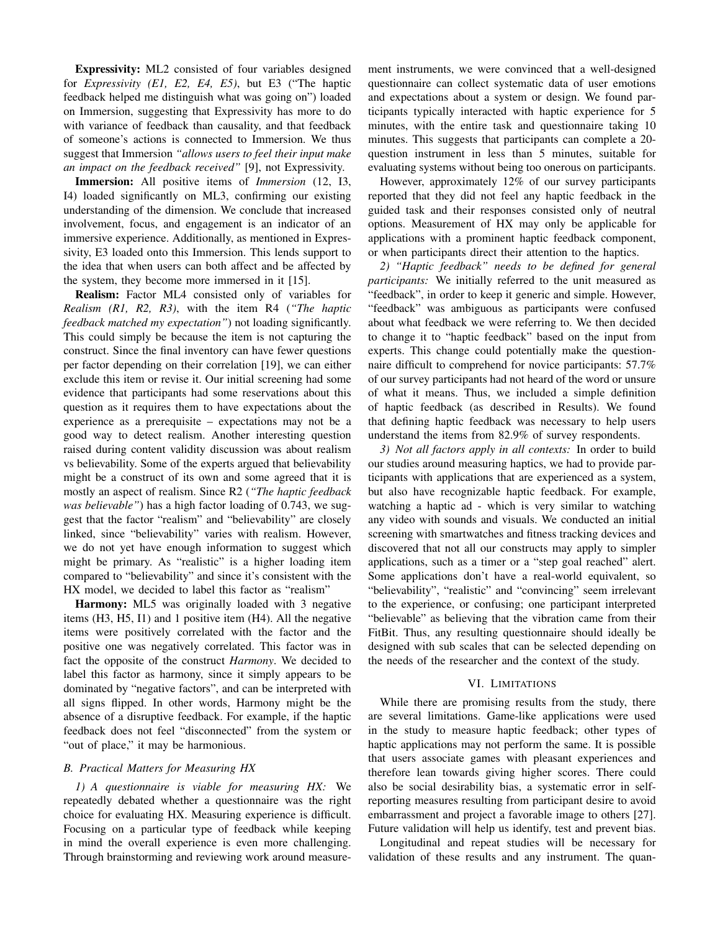Expressivity: ML2 consisted of four variables designed for *Expressivity*  $(E1, E2, E4, E5)$ , but E3 ("The haptic feedback helped me distinguish what was going on") loaded on Immersion, suggesting that Expressivity has more to do with variance of feedback than causality, and that feedback of someone's actions is connected to Immersion. We thus suggest that Immersion "allows users to feel their input make an impact on the feedback received" [9], not Expressivity.

Immersion: All positive items of *Immersion* (12, I3, I4) loaded significantly on ML3, confirming our existing understanding of the dimension. We conclude that increased involvement, focus, and engagement is an indicator of an immersive experience. Additionally, as mentioned in Expressivity, E3 loaded onto this Immersion. This lends support to the idea that when users can both affect and be affected by the system, they become more immersed in it  $[15]$ .

**Realism:** Factor ML4 consisted only of variables for Realism (R1, R2, R3), with the item R4 ("The haptic feedback matched my expectation") not loading significantly. This could simply be because the item is not capturing the construct. Since the final inventory can have fewer questions per factor depending on their correlation [19], we can either exclude this item or revise it. Our initial screening had some evidence that participants had some reservations about this question as it requires them to have expectations about the experience as a prerequisite – expectations may not be a good way to detect realism. Another interesting question raised during content validity discussion was about realism vs believability. Some of the experts argued that believability might be a construct of its own and some agreed that it is mostly an aspect of realism. Since R2 ("The haptic feedback *was believable"*) has a high factor loading of 0.743, we suggest that the factor "realism" and "believability" are closely linked, since "believability" varies with realism. However, we do not yet have enough information to suggest which might be primary. As "realistic" is a higher loading item compared to "believability" and since it's consistent with the HX model, we decided to label this factor as "realism"

**Harmony:** ML5 was originally loaded with 3 negative items  $(H3, H5, I1)$  and 1 positive item  $(H4)$ . All the negative items were positively correlated with the factor and the positive one was negatively correlated. This factor was in fact the opposite of the construct Harmony. We decided to label this factor as harmony, since it simply appears to be dominated by "negative factors", and can be interpreted with all signs flipped. In other words, Harmony might be the absence of a disruptive feedback. For example, if the haptic feedback does not feel "disconnected" from the system or "out of place," it may be harmonious.

# **B.** Practical Matters for Measuring HX

1) A questionnaire is viable for measuring HX: We repeatedly debated whether a questionnaire was the right choice for evaluating HX. Measuring experience is difficult. Focusing on a particular type of feedback while keeping in mind the overall experience is even more challenging. Through brainstorming and reviewing work around measurement instruments, we were convinced that a well-designed questionnaire can collect systematic data of user emotions and expectations about a system or design. We found participants typically interacted with haptic experience for 5 minutes, with the entire task and questionnaire taking 10 minutes. This suggests that participants can complete a 20question instrument in less than 5 minutes, suitable for evaluating systems without being too onerous on participants.

However, approximately 12% of our survey participants reported that they did not feel any haptic feedback in the guided task and their responses consisted only of neutral options. Measurement of HX may only be applicable for applications with a prominent haptic feedback component, or when participants direct their attention to the haptics.

2) "Haptic feedback" needs to be defined for general *participants:* We initially referred to the unit measured as "feedback", in order to keep it generic and simple. However, "feedback" was ambiguous as participants were confused about what feedback we were referring to. We then decided to change it to "haptic feedback" based on the input from experts. This change could potentially make the questionnaire difficult to comprehend for novice participants: 57.7% of our survey participants had not heard of the word or unsure of what it means. Thus, we included a simple definition of haptic feedback (as described in Results). We found that defining haptic feedback was necessary to help users understand the items from 82.9% of survey respondents.

3) Not all factors apply in all contexts: In order to build our studies around measuring haptics, we had to provide participants with applications that are experienced as a system, but also have recognizable haptic feedback. For example, watching a haptic ad - which is very similar to watching any video with sounds and visuals. We conducted an initial screening with smartwatches and fitness tracking devices and discovered that not all our constructs may apply to simpler applications, such as a timer or a "step goal reached" alert. Some applications don't have a real-world equivalent, so "believability", "realistic" and "convincing" seem irrelevant to the experience, or confusing; one participant interpreted "believable" as believing that the vibration came from their FitBit. Thus, any resulting questionnaire should ideally be designed with sub scales that can be selected depending on the needs of the researcher and the context of the study.

#### VI. LIMITATIONS

While there are promising results from the study, there are several limitations. Game-like applications were used in the study to measure haptic feedback; other types of haptic applications may not perform the same. It is possible that users associate games with pleasant experiences and therefore lean towards giving higher scores. There could also be social desirability bias, a systematic error in selfreporting measures resulting from participant desire to avoid embarrassment and project a favorable image to others [27]. Future validation will help us identify, test and prevent bias.

Longitudinal and repeat studies will be necessary for validation of these results and any instrument. The quan